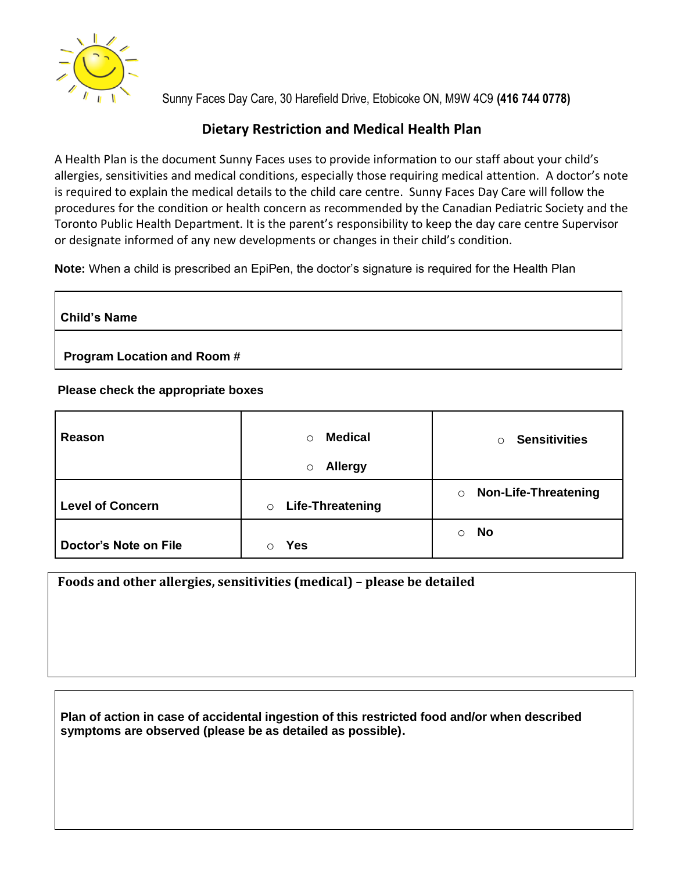

Sunny Faces Day Care, 30 Harefield Drive, Etobicoke ON, M9W 4C9 **(416 744 0778)**

## **Dietary Restriction and Medical Health Plan**

A Health Plan is the document Sunny Faces uses to provide information to our staff about your child's allergies, sensitivities and medical conditions, especially those requiring medical attention. A doctor's note is required to explain the medical details to the child care centre. Sunny Faces Day Care will follow the procedures for the condition or health concern as recommended by the Canadian Pediatric Society and the Toronto Public Health Department. It is the parent's responsibility to keep the day care centre Supervisor or designate informed of any new developments or changes in their child's condition.

**Note:** When a child is prescribed an EpiPen, the doctor's signature is required for the Health Plan

**Child's Name**

**Program Location and Room #**

## **Please check the appropriate boxes**

| Reason                       | <b>Medical</b><br>$\circ$<br><b>Allergy</b><br>$\circ$ | <b>Sensitivities</b><br>$\circ$        |
|------------------------------|--------------------------------------------------------|----------------------------------------|
| <b>Level of Concern</b>      | <b>Life-Threatening</b><br>$\circ$                     | <b>Non-Life-Threatening</b><br>$\circ$ |
| <b>Doctor's Note on File</b> | Yes                                                    | <b>No</b><br>$\circ$                   |

**Foods and other allergies, sensitivities (medical) – please be detailed**

**Plan of action in case of accidental ingestion of this restricted food and/or when described symptoms are observed (please be as detailed as possible).**